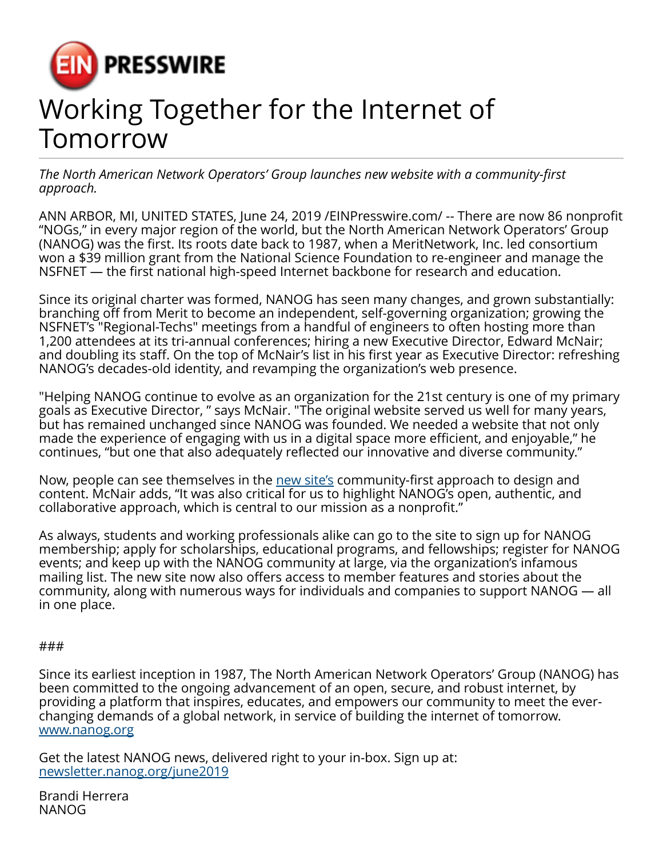

## Working Together for the Internet of **Tomorrow**

*The North American Network Operators' Group launches new website with a community-first approach.*

ANN ARBOR, MI, UNITED STATES, June 24, 2019 [/EINPresswire.com](http://www.einpresswire.com)/ -- There are now 86 nonprofit "NOGs," in every major region of the world, but the North American Network Operators' Group (NANOG) was the first. Its roots date back to 1987, when a MeritNetwork, Inc. led consortium won a \$39 million grant from the National Science Foundation to re-engineer and manage the NSFNET — the first national high-speed Internet backbone for research and education.

Since its original charter was formed, NANOG has seen many changes, and grown substantially: branching off from Merit to become an independent, self-governing organization; growing the NSFNET's "Regional-Techs" meetings from a handful of engineers to often hosting more than 1,200 attendees at its tri-annual conferences; hiring a new Executive Director, Edward McNair; and doubling its staff. On the top of McNair's list in his first year as Executive Director: refreshing NANOG's decades-old identity, and revamping the organization's web presence.

"Helping NANOG continue to evolve as an organization for the 21st century is one of my primary goals as Executive Director, " says McNair. "The original website served us well for many years, but has remained unchanged since NANOG was founded. We needed a website that not only made the experience of engaging with us in a digital space more efficient, and enjoyable," he continues, "but one that also adequately reflected our innovative and diverse community."

Now, people can see themselves in the [new site's](http://www.nanog.org) community-first approach to design and content. McNair adds, "It was also critical for us to highlight NANOG's open, authentic, and collaborative approach, which is central to our mission as a nonprofit."

As always, students and working professionals alike can go to the site to sign up for NANOG membership; apply for scholarships, educational programs, and fellowships; register for NANOG events; and keep up with the NANOG community at large, via the organization's infamous mailing list. The new site now also offers access to member features and stories about the community, along with numerous ways for individuals and companies to support NANOG — all in one place.

## ###

Since its earliest inception in 1987, The North American Network Operators' Group (NANOG) has been committed to the ongoing advancement of an open, secure, and robust internet, by providing a platform that inspires, educates, and empowers our community to meet the everchanging demands of a global network, in service of building the internet of tomorrow. [www.nanog.org](http://www.nanog.org)

Get the latest NANOG news, delivered right to your in-box. Sign up at: [newsletter.nanog.org/june2019](http://newsletter.nanog.org/june2019)

Brandi Herrera NANOG